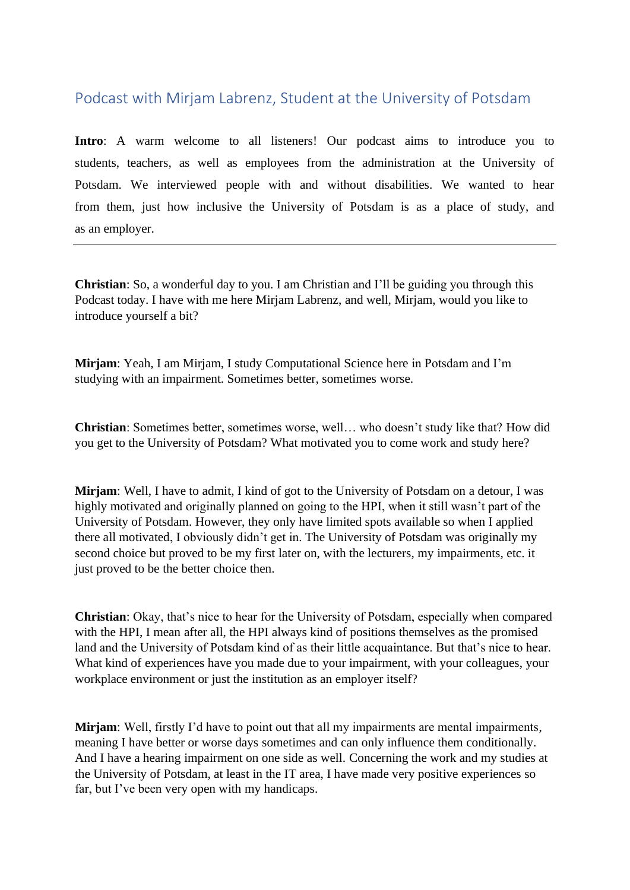## Podcast with Mirjam Labrenz, Student at the University of Potsdam

**Intro**: A warm welcome to all listeners! Our podcast aims to introduce you to students, teachers, as well as employees from the administration at the University of Potsdam. We interviewed people with and without disabilities. We wanted to hear from them, just how inclusive the University of Potsdam is as a place of study, and as an employer.

**Christian**: So, a wonderful day to you. I am Christian and I'll be guiding you through this Podcast today. I have with me here Mirjam Labrenz, and well, Mirjam, would you like to introduce yourself a bit?

**Mirjam**: Yeah, I am Mirjam, I study Computational Science here in Potsdam and I'm studying with an impairment. Sometimes better, sometimes worse.

**Christian**: Sometimes better, sometimes worse, well… who doesn't study like that? How did you get to the University of Potsdam? What motivated you to come work and study here?

**Mirjam**: Well, I have to admit, I kind of got to the University of Potsdam on a detour, I was highly motivated and originally planned on going to the HPI, when it still wasn't part of the University of Potsdam. However, they only have limited spots available so when I applied there all motivated, I obviously didn't get in. The University of Potsdam was originally my second choice but proved to be my first later on, with the lecturers, my impairments, etc. it just proved to be the better choice then.

**Christian**: Okay, that's nice to hear for the University of Potsdam, especially when compared with the HPI, I mean after all, the HPI always kind of positions themselves as the promised land and the University of Potsdam kind of as their little acquaintance. But that's nice to hear. What kind of experiences have you made due to your impairment, with your colleagues, your workplace environment or just the institution as an employer itself?

**Mirjam**: Well, firstly I'd have to point out that all my impairments are mental impairments, meaning I have better or worse days sometimes and can only influence them conditionally. And I have a hearing impairment on one side as well. Concerning the work and my studies at the University of Potsdam, at least in the IT area, I have made very positive experiences so far, but I've been very open with my handicaps.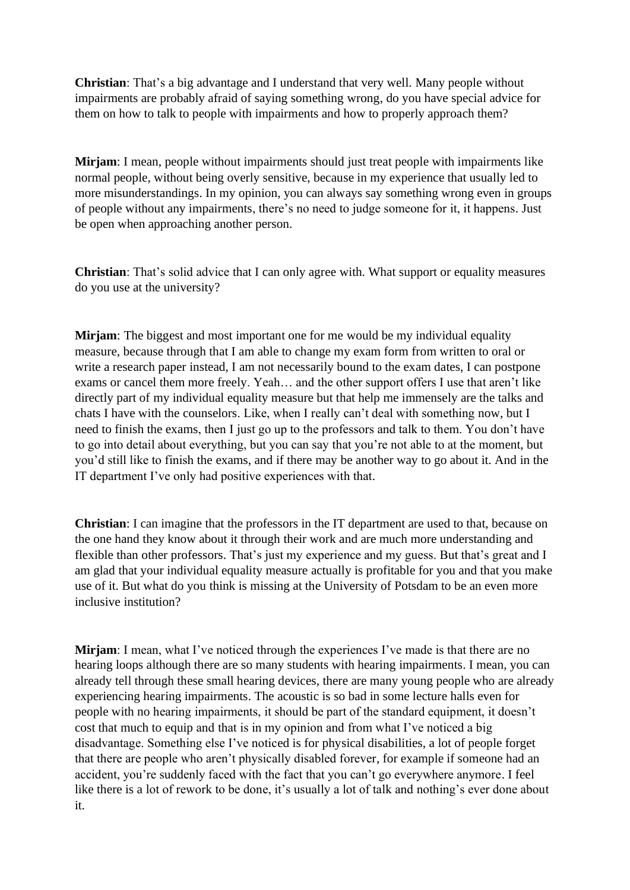**Christian**: That's a big advantage and I understand that very well. Many people without impairments are probably afraid of saying something wrong, do you have special advice for them on how to talk to people with impairments and how to properly approach them?

**Mirjam**: I mean, people without impairments should just treat people with impairments like normal people, without being overly sensitive, because in my experience that usually led to more misunderstandings. In my opinion, you can always say something wrong even in groups of people without any impairments, there's no need to judge someone for it, it happens. Just be open when approaching another person.

**Christian**: That's solid advice that I can only agree with. What support or equality measures do you use at the university?

**Mirjam**: The biggest and most important one for me would be my individual equality measure, because through that I am able to change my exam form from written to oral or write a research paper instead. I am not necessarily bound to the exam dates. I can postpone exams or cancel them more freely. Yeah… and the other support offers I use that aren't like directly part of my individual equality measure but that help me immensely are the talks and chats I have with the counselors. Like, when I really can't deal with something now, but I need to finish the exams, then I just go up to the professors and talk to them. You don't have to go into detail about everything, but you can say that you're not able to at the moment, but you'd still like to finish the exams, and if there may be another way to go about it. And in the IT department I've only had positive experiences with that.

**Christian**: I can imagine that the professors in the IT department are used to that, because on the one hand they know about it through their work and are much more understanding and flexible than other professors. That's just my experience and my guess. But that's great and I am glad that your individual equality measure actually is profitable for you and that you make use of it. But what do you think is missing at the University of Potsdam to be an even more inclusive institution?

**Mirjam**: I mean, what I've noticed through the experiences I've made is that there are no hearing loops although there are so many students with hearing impairments. I mean, you can already tell through these small hearing devices, there are many young people who are already experiencing hearing impairments. The acoustic is so bad in some lecture halls even for people with no hearing impairments, it should be part of the standard equipment, it doesn't cost that much to equip and that is in my opinion and from what I've noticed a big disadvantage. Something else I've noticed is for physical disabilities, a lot of people forget that there are people who aren't physically disabled forever, for example if someone had an accident, you're suddenly faced with the fact that you can't go everywhere anymore. I feel like there is a lot of rework to be done, it's usually a lot of talk and nothing's ever done about it.